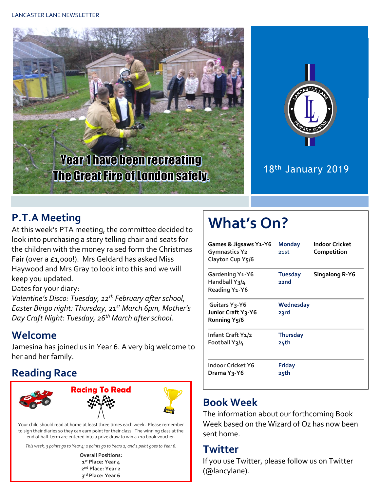



#### 18th January 2019

### **P.T.A Meeting**

At this week's PTA meeting, the committee decided to look into purchasing a story telling chair and seats for the children with the money raised form the Christmas Fair (over a £1,000!). Mrs Geldard has asked Miss Haywood and Mrs Gray to look into this and we will keep you updated.

Dates for your diary:

*Valentine's Disco: Tuesday, 12th February after school, Easter Bingo night: Thursday, 21st March 6pm, Mother's Day Craft Night: Tuesday, 26th March after school.*

#### **Welcome**

Jamesina has joined us in Year 6. A very big welcome to her and her family.

## **Reading Race**



Your child should read at home at least three times each week. Please remember to sign their diaries so they can earn point for their class. The winning class at the end of half-term are entered into a prize draw to win a £10 book voucher.

*This week, 3 points go to Year 4; 2 points go to Years 2; and 1 point goesto Year 6.*

**Overall Positions: st Place: Year 4 nd Place: Year 2 rd Place: Year 6**

# **What's On?**

| Games & Jigsaws Y1-Y6<br><b>Gymnastics Y2</b><br>Clayton Cup Y5/6             | <b>Monday</b><br>21st   | Indoor Cricket<br>Competition |
|-------------------------------------------------------------------------------|-------------------------|-------------------------------|
| <b>Gardening Y1-Y6</b><br>Handball Y3/4<br>Reading Y1-Y6                      | <b>Tuesday</b><br>22nd  | Singalong R-Y6                |
| Guitars Y <sub>3</sub> -Y6<br>Junior Craft Y3-Y6<br>Running Y <sub>5</sub> /6 | Wednesday<br>23rd       |                               |
| Infant Craft Y1/2<br>Football Y3/4                                            | <b>Thursday</b><br>24th |                               |
| Indoor Cricket Y6<br>Drama Y3-Y6                                              | <b>Friday</b><br>25th   |                               |

### **Book Week**

The information about our forthcoming Book Week based on the Wizard of Oz has now been sent home.

#### **Twitter**

If you use Twitter, please follow us on Twitter (@lancylane).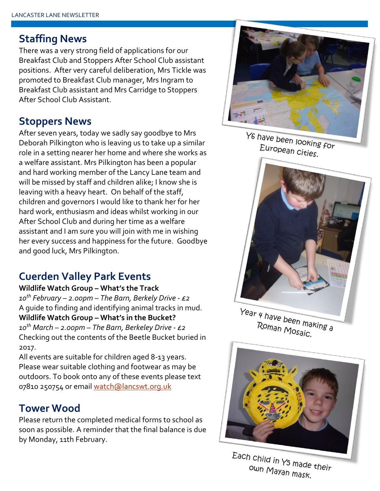#### **Staffing News**

There was a very strong field of applications for our Breakfast Club and Stoppers After School Club assistant positions. After very careful deliberation, Mrs Tickle was promoted to Breakfast Club manager, Mrs Ingram to Breakfast Club assistant and Mrs Carridge to Stoppers After School Club Assistant.

#### **Stoppers News**

After seven years, today we sadly say goodbye to Mrs Deborah Pilkington who is leaving us to take up a similar role in a setting nearer her home and where she works as a welfare assistant. Mrs Pilkington has been a popular and hard working member of the Lancy Lane team and will be missed by staff and children alike; I know she is leaving with a heavy heart. On behalf of the staff, children and governors I would like to thank her for her hard work, enthusiasm and ideas whilst working in our After School Club and during her time as a welfare assistant and I am sure you will join with me in wishing her every success and happiness for the future. Goodbye and good luck, Mrs Pilkington.

## **Cuerden Valley Park Events**

**Wildlife Watch Group – What's the Track** *10th February – 2.00pm – The Barn, Berkely Drive - £2* A guide to finding and identifying animal tracks in mud. **Wildlife Watch Group – What's in the Bucket?** *10th March – 2.00pm – The Barn, Berkeley Drive - £2* Checking out the contents of the Beetle Bucket buried in 2017.

All events are suitable for children aged 8-13 years. Please wear suitable clothing and footwear as may be outdoors. To book onto any of these events please text 07810 250754 or email [watch@lancswt.org.uk](mailto:watch@lancswt.org.uk)

#### **Tower Wood**

Please return the completed medical forms to school as soon as possible. A reminder that the final balance is due by Monday, 11th February.



Y6 have been looking for European Cities.



Year 4 have been making a Roman Mosaic.



Each child in Y<sub>5</sub> made their own Mayan mask.